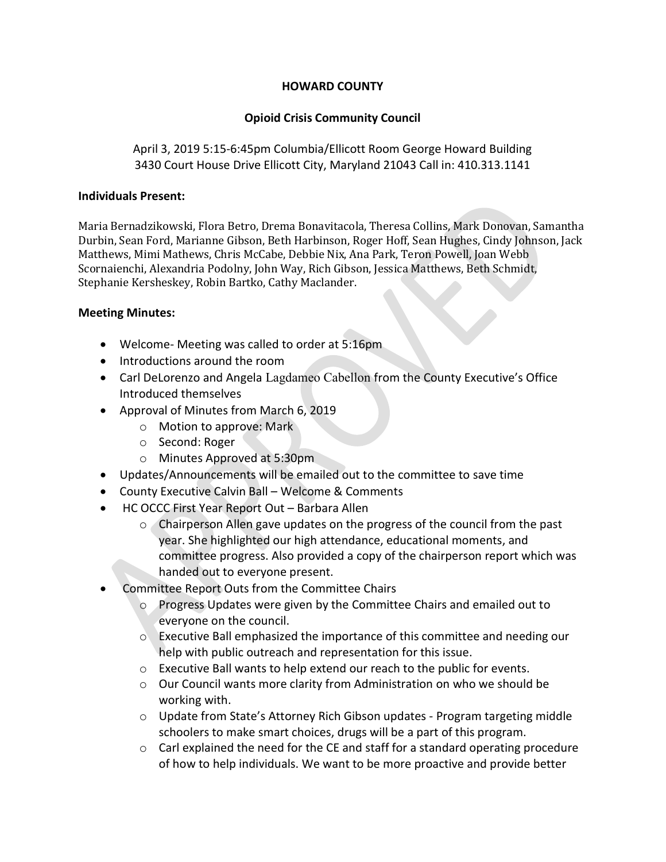## HOWARD COUNTY

## Opioid Crisis Community Council

April 3, 2019 5:15-6:45pm Columbia/Ellicott Room George Howard Building 3430 Court House Drive Ellicott City, Maryland 21043 Call in: 410.313.1141

## Individuals Present:

Maria Bernadzikowski, Flora Betro, Drema Bonavitacola, Theresa Collins, Mark Donovan, Samantha Durbin, Sean Ford, Marianne Gibson, Beth Harbinson, Roger Hoff, Sean Hughes, Cindy Johnson, Jack Matthews, Mimi Mathews, Chris McCabe, Debbie Nix, Ana Park, Teron Powell, Joan Webb Scornaienchi, Alexandria Podolny, John Way, Rich Gibson, Jessica Matthews, Beth Schmidt, Stephanie Kersheskey, Robin Bartko, Cathy Maclander.

## Meeting Minutes:

- Welcome- Meeting was called to order at 5:16pm
- Introductions around the room
- Carl DeLorenzo and Angela Lagdameo Cabellon from the County Executive's Office Introduced themselves
- Approval of Minutes from March 6, 2019
	- o Motion to approve: Mark
		- o Second: Roger
	- o Minutes Approved at 5:30pm
- Updates/Announcements will be emailed out to the committee to save time
- County Executive Calvin Ball Welcome & Comments
- HC OCCC First Year Report Out Barbara Allen
	- $\circ$  Chairperson Allen gave updates on the progress of the council from the past year. She highlighted our high attendance, educational moments, and committee progress. Also provided a copy of the chairperson report which was handed out to everyone present.
- Committee Report Outs from the Committee Chairs
	- o Progress Updates were given by the Committee Chairs and emailed out to everyone on the council.
	- o Executive Ball emphasized the importance of this committee and needing our help with public outreach and representation for this issue.
	- $\circ$  Executive Ball wants to help extend our reach to the public for events.
	- $\circ$  Our Council wants more clarity from Administration on who we should be working with.
	- $\circ$  Update from State's Attorney Rich Gibson updates Program targeting middle schoolers to make smart choices, drugs will be a part of this program.
	- o Carl explained the need for the CE and staff for a standard operating procedure of how to help individuals. We want to be more proactive and provide better